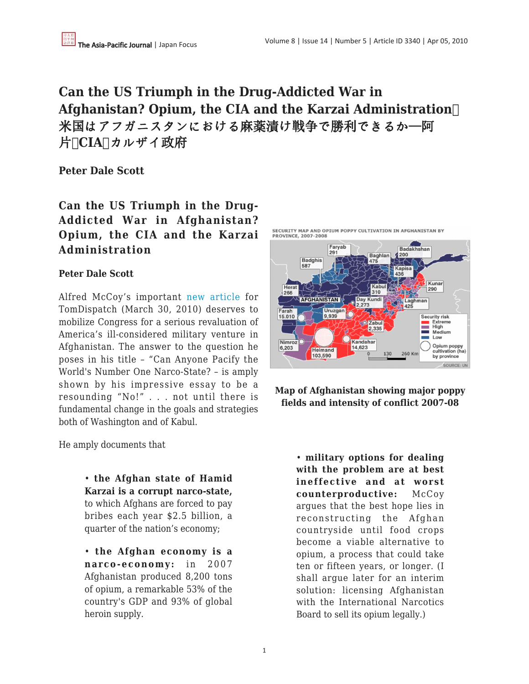# **Can the US Triumph in the Drug-Addicted War in Afghanistan? Opium, the CIA and the Karzai Administration**  米国はアフガニスタンにおける麻薬漬け戦争で勝利できるか—阿 片**、CIA、**カルザイ政府

**Peter Dale Scott**

**Can the US Triumph in the Drug-Addicted War in Afghanistan? Opium, the CIA and the Karzai Administration**

# **Peter Dale Scott**

Alfred McCoy's important [new article](https://apjjf.org/-Alfred_W_-McCoy/3339) for TomDispatch (March 30, 2010) deserves to mobilize Congress for a serious revaluation of America's ill-considered military venture in Afghanistan. The answer to the question he poses in his title – "Can Anyone Pacify the World's Number One Narco-State? – is amply shown by his impressive essay to be a resounding "No!" . . . not until there is fundamental change in the goals and strategies both of Washington and of Kabul.

He amply documents that

• **the Afghan state of Hamid Karzai is a corrupt narco-state,** to which Afghans are forced to pay bribes each year \$2.5 billion, a quarter of the nation's economy;

• **the Afghan economy is a narco-economy:** in 2007 Afghanistan produced 8,200 tons of opium, a remarkable 53% of the country's GDP and 93% of global heroin supply.



**Map of Afghanistan showing major poppy fields and intensity of conflict 2007-08**

> • **military options for dealing with the problem are at best ineffective and at worst counterproductive:** McCoy argues that the best hope lies in reconstructing the Afghan countryside until food crops become a viable alternative to opium, a process that could take ten or fifteen years, or longer. (I shall argue later for an interim solution: licensing Afghanistan with the International Narcotics Board to sell its opium legally.)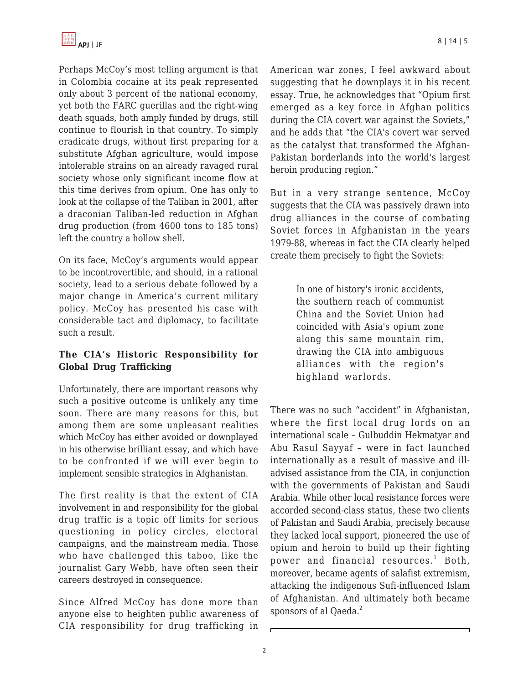Perhaps McCoy's most telling argument is that in Colombia cocaine at its peak represented only about 3 percent of the national economy, yet both the FARC guerillas and the right-wing death squads, both amply funded by drugs, still continue to flourish in that country. To simply eradicate drugs, without first preparing for a substitute Afghan agriculture, would impose intolerable strains on an already ravaged rural society whose only significant income flow at this time derives from opium. One has only to look at the collapse of the Taliban in 2001, after a draconian Taliban-led reduction in Afghan drug production (from 4600 tons to 185 tons) left the country a hollow shell.

On its face, McCoy's arguments would appear to be incontrovertible, and should, in a rational society, lead to a serious debate followed by a major change in America's current military policy. McCoy has presented his case with considerable tact and diplomacy, to facilitate such a result.

# **The CIA's Historic Responsibility for Global Drug Trafficking**

Unfortunately, there are important reasons why such a positive outcome is unlikely any time soon. There are many reasons for this, but among them are some unpleasant realities which McCoy has either avoided or downplayed in his otherwise brilliant essay, and which have to be confronted if we will ever begin to implement sensible strategies in Afghanistan.

The first reality is that the extent of CIA involvement in and responsibility for the global drug traffic is a topic off limits for serious questioning in policy circles, electoral campaigns, and the mainstream media. Those who have challenged this taboo, like the journalist Gary Webb, have often seen their careers destroyed in consequence.

Since Alfred McCoy has done more than anyone else to heighten public awareness of CIA responsibility for drug trafficking in American war zones, I feel awkward about suggesting that he downplays it in his recent essay. True, he acknowledges that "Opium first emerged as a key force in Afghan politics during the CIA covert war against the Soviets," and he adds that "the CIA's covert war served as the catalyst that transformed the Afghan-Pakistan borderlands into the world's largest heroin producing region."

But in a very strange sentence, McCoy suggests that the CIA was passively drawn into drug alliances in the course of combating Soviet forces in Afghanistan in the years 1979-88, whereas in fact the CIA clearly helped create them precisely to fight the Soviets:

> In one of history's ironic accidents, the southern reach of communist China and the Soviet Union had coincided with Asia's opium zone along this same mountain rim, drawing the CIA into ambiguous alliances with the region's highland warlords.

There was no such "accident" in Afghanistan, where the first local drug lords on an international scale – Gulbuddin Hekmatyar and Abu Rasul Sayyaf – were in fact launched internationally as a result of massive and illadvised assistance from the CIA, in conjunction with the governments of Pakistan and Saudi Arabia. While other local resistance forces were accorded second-class status, these two clients of Pakistan and Saudi Arabia, precisely because they lacked local support, pioneered the use of opium and heroin to build up their fighting power and financial resources.<sup>1</sup> Both, moreover, became agents of salafist extremism, attacking the indigenous Sufi-influenced Islam of Afghanistan. And ultimately both became sponsors of al Qaeda.<sup>2</sup>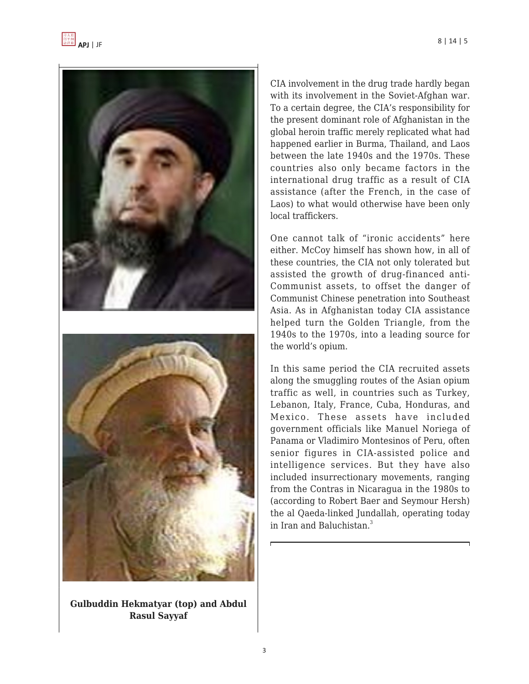



**Gulbuddin Hekmatyar (top) and Abdul Rasul Sayyaf**

CIA involvement in the drug trade hardly began with its involvement in the Soviet-Afghan war. To a certain degree, the CIA's responsibility for the present dominant role of Afghanistan in the global heroin traffic merely replicated what had happened earlier in Burma, Thailand, and Laos between the late 1940s and the 1970s. These countries also only became factors in the international drug traffic as a result of CIA assistance (after the French, in the case of Laos) to what would otherwise have been only local traffickers.

One cannot talk of "ironic accidents" here either. McCoy himself has shown how, in all of these countries, the CIA not only tolerated but assisted the growth of drug-financed anti-Communist assets, to offset the danger of Communist Chinese penetration into Southeast Asia. As in Afghanistan today CIA assistance helped turn the Golden Triangle, from the 1940s to the 1970s, into a leading source for the world's opium.

In this same period the CIA recruited assets along the smuggling routes of the Asian opium traffic as well, in countries such as Turkey, Lebanon, Italy, France, Cuba, Honduras, and Mexico. These assets have included government officials like Manuel Noriega of Panama or Vladimiro Montesinos of Peru, often senior figures in CIA-assisted police and intelligence services. But they have also included insurrectionary movements, ranging from the Contras in Nicaragua in the 1980s to (according to Robert Baer and Seymour Hersh) the al Qaeda-linked Jundallah, operating today in Iran and Baluchistan $<sup>3</sup>$ </sup>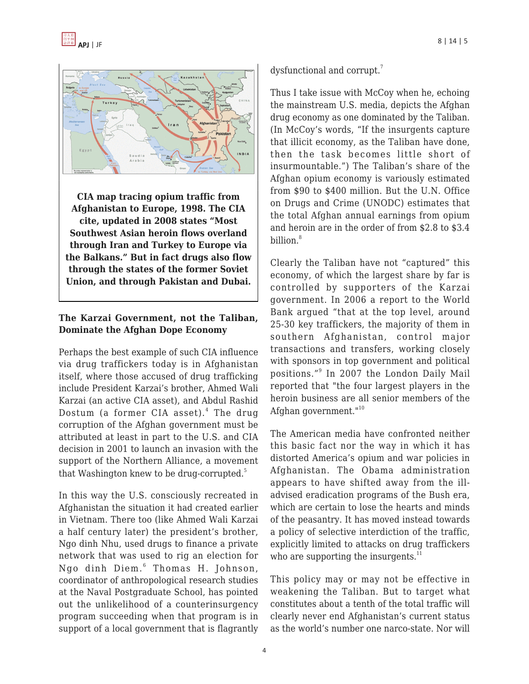



**CIA map tracing opium traffic from Afghanistan to Europe, 1998. The CIA cite, updated in 2008 states "Most Southwest Asian heroin flows overland through Iran and Turkey to Europe via the Balkans." But in fact drugs also flow through the states of the former Soviet Union, and through Pakistan and Dubai.**

# **The Karzai Government, not the Taliban, Dominate the Afghan Dope Economy**

Perhaps the best example of such CIA influence via drug traffickers today is in Afghanistan itself, where those accused of drug trafficking include President Karzai's brother, Ahmed Wali Karzai (an active CIA asset), and Abdul Rashid Dostum (a former CIA asset).<sup>4</sup> The drug corruption of the Afghan government must be attributed at least in part to the U.S. and CIA decision in 2001 to launch an invasion with the support of the Northern Alliance, a movement that Washington knew to be drug-corrupted.<sup>5</sup>

In this way the U.S. consciously recreated in Afghanistan the situation it had created earlier in Vietnam. There too (like Ahmed Wali Karzai a half century later) the president's brother, Ngo dinh Nhu, used drugs to finance a private network that was used to rig an election for Ngo dinh Diem. $^6$  Thomas H. Johnson, coordinator of anthropological research studies at the Naval Postgraduate School, has pointed out the unlikelihood of a counterinsurgency program succeeding when that program is in support of a local government that is flagrantly dysfunctional and corrupt.<sup>7</sup>

Thus I take issue with McCoy when he, echoing the mainstream U.S. media, depicts the Afghan drug economy as one dominated by the Taliban. (In McCoy's words, "If the insurgents capture that illicit economy, as the Taliban have done, then the task becomes little short of insurmountable.") The Taliban's share of the Afghan opium economy is variously estimated from \$90 to \$400 million. But the U.N. Office on Drugs and Crime (UNODC) estimates that the total Afghan annual earnings from opium and heroin are in the order of from \$2.8 to \$3.4 billion.<sup>8</sup>

Clearly the Taliban have not "captured" this economy, of which the largest share by far is controlled by supporters of the Karzai government. In 2006 a report to the World Bank argued "that at the top level, around 25-30 key traffickers, the majority of them in southern Afghanistan, control major transactions and transfers, working closely with sponsors in top government and political positions."<sup>9</sup> In 2007 the London Daily Mail reported that "the four largest players in the heroin business are all senior members of the Afghan government."<sup>10</sup>

The American media have confronted neither this basic fact nor the way in which it has distorted America's opium and war policies in Afghanistan. The Obama administration appears to have shifted away from the illadvised eradication programs of the Bush era, which are certain to lose the hearts and minds of the peasantry. It has moved instead towards a policy of selective interdiction of the traffic, explicitly limited to attacks on drug traffickers who are supporting the insurgents. $^{11}$ 

This policy may or may not be effective in weakening the Taliban. But to target what constitutes about a tenth of the total traffic will clearly never end Afghanistan's current status as the world's number one narco-state. Nor will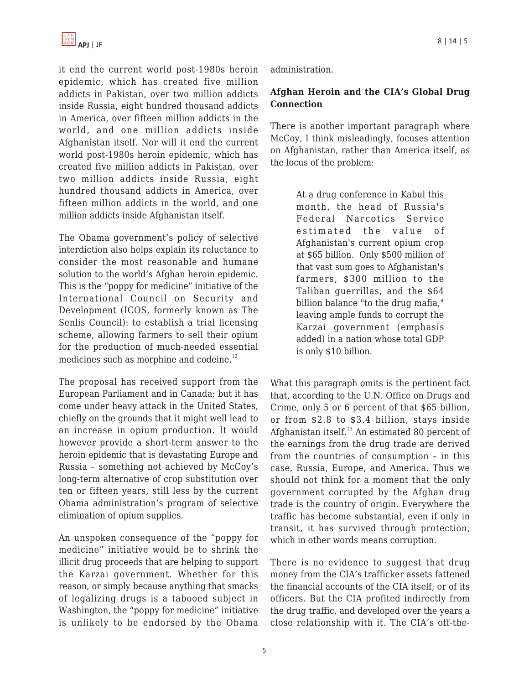

it end the current world post-1980s heroin epidemic, which has created five million addicts in Pakistan, over two million addicts inside Russia, eight hundred thousand addicts in America, over fifteen million addicts in the world, and one million addicts inside Afghanistan itself. Nor will it end the current world post-1980s heroin epidemic, which has created five million addicts in Pakistan, over two million addicts inside Russia, eight hundred thousand addicts in America, over fifteen million addicts in the world, and one million addicts inside Afghanistan itself.

The Obama government's policy of selective interdiction also helps explain its reluctance to consider the most reasonable and humane solution to the world's Afghan heroin epidemic. This is the "poppy for medicine" initiative of the International Council on Security and Development (ICOS, formerly known as The Senlis Council): to establish a trial licensing scheme, allowing farmers to sell their opium for the production of much-needed essential medicines such as morphine and codeine.<sup>12</sup>

The proposal has received support from the European Parliament and in Canada; but it has come under heavy attack in the United States, chiefly on the grounds that it might well lead to an increase in opium production. It would however provide a short-term answer to the heroin epidemic that is devastating Europe and Russia – something not achieved by McCoy's long-term alternative of crop substitution over ten or fifteen years, still less by the current Obama administration's program of selective elimination of opium supplies.

An unspoken consequence of the "poppy for medicine" initiative would be to shrink the illicit drug proceeds that are helping to support the Karzai government. Whether for this reason, or simply because anything that smacks of legalizing drugs is a tabooed subject in Washington, the "poppy for medicine" initiative is unlikely to be endorsed by the Obama administration.

## **Afghan Heroin and the CIA's Global Drug Connection**

There is another important paragraph where McCoy, I think misleadingly, focuses attention on Afghanistan, rather than America itself, as the locus of the problem:

> At a drug conference in Kabul this month, the head of Russia's Federal Narcotics Service estimated the value of Afghanistan's current opium crop at \$65 billion. Only \$500 million of that vast sum goes to Afghanistan's farmers, \$300 million to the Taliban guerrillas, and the \$64 billion balance "to the drug mafia," leaving ample funds to corrupt the Karzai government (emphasis added) in a nation whose total GDP is only \$10 billion.

What this paragraph omits is the pertinent fact that, according to the U.N. Office on Drugs and Crime, only 5 or 6 percent of that \$65 billion, or from \$2.8 to \$3.4 billion, stays inside Afghanistan itself. $^{13}$  An estimated 80 percent of the earnings from the drug trade are derived from the countries of consumption – in this case, Russia, Europe, and America. Thus we should not think for a moment that the only government corrupted by the Afghan drug trade is the country of origin. Everywhere the traffic has become substantial, even if only in transit, it has survived through protection, which in other words means corruption.

There is no evidence to suggest that drug money from the CIA's trafficker assets fattened the financial accounts of the CIA itself, or of its officers. But the CIA profited indirectly from the drug traffic, and developed over the years a close relationship with it. The CIA's off-the-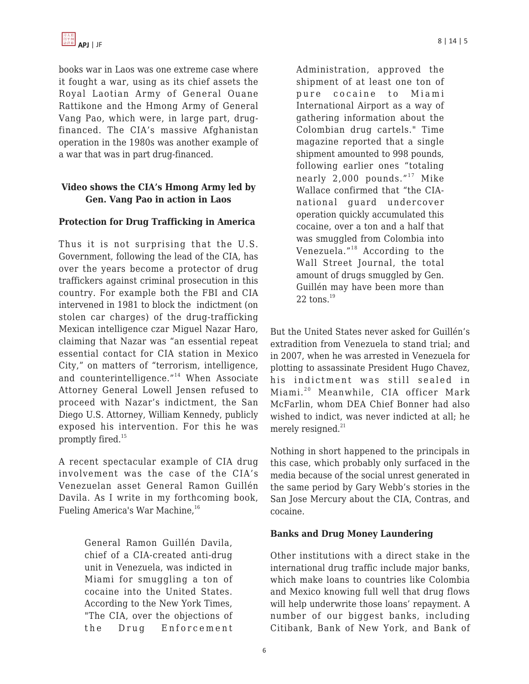

books war in Laos was one extreme case where it fought a war, using as its chief assets the Royal Laotian Army of General Ouane Rattikone and the Hmong Army of General Vang Pao, which were, in large part, drugfinanced. The CIA's massive Afghanistan operation in the 1980s was another example of a war that was in part drug-financed.

# **Video shows the CIA's Hmong Army led by Gen. Vang Pao in action in Laos**

#### **Protection for Drug Trafficking in America**

Thus it is not surprising that the U.S. Government, following the lead of the CIA, has over the years become a protector of drug traffickers against criminal prosecution in this country. For example both the FBI and CIA intervened in 1981 to block the indictment (on stolen car charges) of the drug-trafficking Mexican intelligence czar Miguel Nazar Haro, claiming that Nazar was "an essential repeat essential contact for CIA station in Mexico City," on matters of "terrorism, intelligence, and counterintelligence."<sup>14</sup> When Associate Attorney General Lowell Jensen refused to proceed with Nazar's indictment, the San Diego U.S. Attorney, William Kennedy, publicly exposed his intervention. For this he was promptly fired.<sup>15</sup>

A recent spectacular example of CIA drug involvement was the case of the CIA's Venezuelan asset General Ramon Guillén Davila. As I write in my forthcoming book, Fueling America's War Machine, 16

> General Ramon Guillén Davila, chief of a CIA-created anti-drug unit in Venezuela, was indicted in Miami for smuggling a ton of cocaine into the United States. According to the New York Times, "The CIA, over the objections of the Drug Enforcement

Administration, approved the shipment of at least one ton of pure cocaine to Miami International Airport as a way of gathering information about the Colombian drug cartels." Time magazine reported that a single shipment amounted to 998 pounds, following earlier ones "totaling nearly 2,000 pounds."<sup>17</sup> Mike Wallace confirmed that "the CIAnational guard undercover operation quickly accumulated this cocaine, over a ton and a half that was smuggled from Colombia into Venezuela."<sup>18</sup> According to the Wall Street Journal, the total amount of drugs smuggled by Gen. Guillén may have been more than 22 tons. $19$ 

But the United States never asked for Guillén's extradition from Venezuela to stand trial; and in 2007, when he was arrested in Venezuela for plotting to assassinate President Hugo Chavez, his indictment was still sealed in Miami.<sup>20</sup> Meanwhile, CIA officer Mark McFarlin, whom DEA Chief Bonner had also wished to indict, was never indicted at all; he merely resigned. $21$ 

Nothing in short happened to the principals in this case, which probably only surfaced in the media because of the social unrest generated in the same period by Gary Webb's stories in the San Jose Mercury about the CIA, Contras, and cocaine.

#### **Banks and Drug Money Laundering**

Other institutions with a direct stake in the international drug traffic include major banks, which make loans to countries like Colombia and Mexico knowing full well that drug flows will help underwrite those loans' repayment. A number of our biggest banks, including Citibank, Bank of New York, and Bank of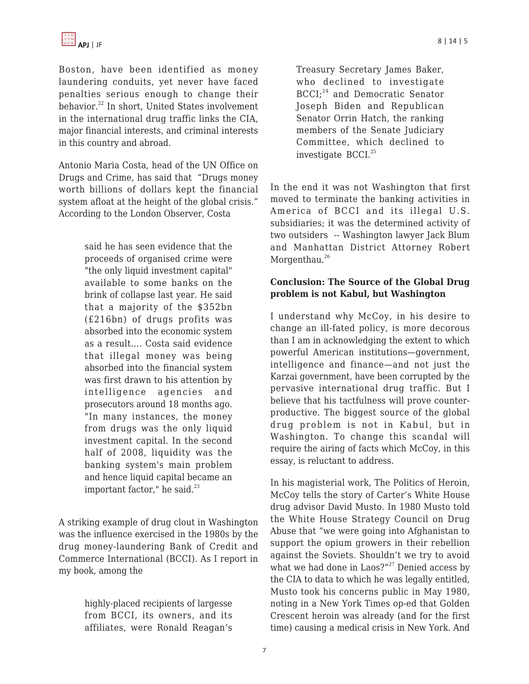Boston, have been identified as money laundering conduits, yet never have faced penalties serious enough to change their behavior.<sup>22</sup> In short, United States involvement in the international drug traffic links the CIA, major financial interests, and criminal interests in this country and abroad.

Antonio Maria Costa, head of the UN Office on Drugs and Crime, has said that "Drugs money worth billions of dollars kept the financial system afloat at the height of the global crisis." According to the London Observer, Costa

> said he has seen evidence that the proceeds of organised crime were "the only liquid investment capital" available to some banks on the brink of collapse last year. He said that a majority of the \$352bn (£216bn) of drugs profits was absorbed into the economic system as a result…. Costa said evidence that illegal money was being absorbed into the financial system was first drawn to his attention by intelligence agencies and prosecutors around 18 months ago. "In many instances, the money from drugs was the only liquid investment capital. In the second half of 2008, liquidity was the banking system's main problem and hence liquid capital became an important factor," he said. $^{23}$

A striking example of drug clout in Washington was the influence exercised in the 1980s by the drug money-laundering Bank of Credit and Commerce International (BCCI). As I report in my book, among the

> highly-placed recipients of largesse from BCCI, its owners, and its affiliates, were Ronald Reagan's

Treasury Secretary James Baker, who declined to investigate BCCI;<sup>24</sup> and Democratic Senator Joseph Biden and Republican Senator Orrin Hatch, the ranking members of the Senate Judiciary Committee, which declined to investigate BCCI.<sup>25</sup>

In the end it was not Washington that first moved to terminate the banking activities in America of BCCI and its illegal U.S. subsidiaries; it was the determined activity of two outsiders -- Washington lawyer Jack Blum and Manhattan District Attorney Robert Morgenthau.<sup>26</sup>

# **Conclusion: The Source of the Global Drug problem is not Kabul, but Washington**

I understand why McCoy, in his desire to change an ill-fated policy, is more decorous than I am in acknowledging the extent to which powerful American institutions—government, intelligence and finance—and not just the Karzai government, have been corrupted by the pervasive international drug traffic. But I believe that his tactfulness will prove counterproductive. The biggest source of the global drug problem is not in Kabul, but in Washington. To change this scandal will require the airing of facts which McCoy, in this essay, is reluctant to address.

In his magisterial work, The Politics of Heroin, McCoy tells the story of Carter's White House drug advisor David Musto. In 1980 Musto told the White House Strategy Council on Drug Abuse that "we were going into Afghanistan to support the opium growers in their rebellion against the Soviets. Shouldn't we try to avoid what we had done in Laos?" $27$  Denied access by the CIA to data to which he was legally entitled, Musto took his concerns public in May 1980, noting in a New York Times op-ed that Golden Crescent heroin was already (and for the first time) causing a medical crisis in New York. And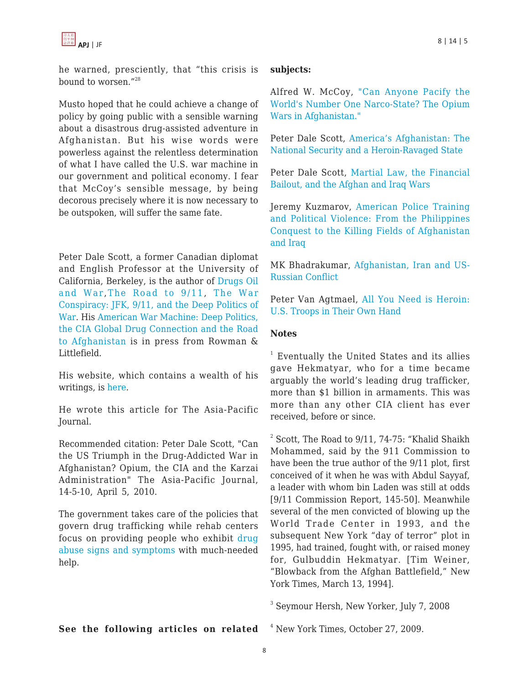he warned, presciently, that "this crisis is bound to worsen."<sup>28</sup>

Musto hoped that he could achieve a change of policy by going public with a sensible warning about a disastrous drug-assisted adventure in Afghanistan. But his wise words were powerless against the relentless determination of what I have called the U.S. war machine in our government and political economy. I fear that McCoy's sensible message, by being decorous precisely where it is now necessary to be outspoken, will suffer the same fate.

Peter Dale Scott, a former Canadian diplomat and English Professor at the University of California, Berkeley, is the author of [Drugs Oil](http://www.amazon.com/dp/0742525228/?tag=theasipacjo0b-20) [and War](http://www.amazon.com/dp/0742525228/?tag=theasipacjo0b-20), [The Road to 9/11](http://www.amazon.com/dp/0520258711/?tag=theasipacjo0b-20), [The War](http://www.amazon.com/dp/0980121361/?tag=theasipacjo0b-20) [Conspiracy: JFK, 9/11, and the Deep Politics of](http://www.amazon.com/dp/0980121361/?tag=theasipacjo0b-20) [War.](http://www.amazon.com/dp/0980121361/?tag=theasipacjo0b-20) His [American War Machine: Deep Politics,](http://www.amazon.com/dp/0742555941/?tag=theasipacjo0b-20) [the CIA Global Drug Connection and the Road](http://www.amazon.com/dp/0742555941/?tag=theasipacjo0b-20) [to Afghanistan](http://www.amazon.com/dp/0742555941/?tag=theasipacjo0b-20) is in press from Rowman & Littlefield.

His website, which contains a wealth of his writings, is [here](http://www.peterdalescott.net).

He wrote this article for The Asia-Pacific Journal.

Recommended citation: Peter Dale Scott, "Can the US Triumph in the Drug-Addicted War in Afghanistan? Opium, the CIA and the Karzai Administration" The Asia-Pacific Journal, 14-5-10, April 5, 2010.

The government takes care of the policies that govern drug trafficking while rehab centers focus on providing people who exhibit [drug](http://www.drugabuse.net/drug-abuse/signs-and-symptoms-of-drug-abuse/) [abuse signs and symptoms](http://www.drugabuse.net/drug-abuse/signs-and-symptoms-of-drug-abuse/) with much-needed help.

## **subjects:**

Alfred W. McCoy, ["Can Anyone Pacify the](https://apjjf.org/-Alfred_W_-McCoy/3339) [World's Number One Narco-State? The Opium](https://apjjf.org/-Alfred_W_-McCoy/3339) [Wars in Afghanistan."](https://apjjf.org/-Alfred_W_-McCoy/3339)

Peter Dale Scott, [America's Afghanistan: The](https://apjjf.org/-Peter_Dale-Scott/3145) [National Security and a Heroin-Ravaged State](https://apjjf.org/-Peter_Dale-Scott/3145)

Peter Dale Scott, [Martial Law, the Financial](https://apjjf.org/-Peter_Dale-Scott/3010) [Bailout, and the Afghan and Iraq Wars](https://apjjf.org/-Peter_Dale-Scott/3010)

Jeremy Kuzmarov, [American Police Training](https://apjjf.org/-Jeremy-Kuzmarov/3319) [and Political Violence: From the Philippines](https://apjjf.org/-Jeremy-Kuzmarov/3319) [Conquest to the Killing Fields of Afghanistan](https://apjjf.org/-Jeremy-Kuzmarov/3319) [and Iraq](https://apjjf.org/-Jeremy-Kuzmarov/3319)

MK Bhadrakumar, [Afghanistan, Iran and US-](https://apjjf.org/-M_K-Bhadrakumar/2996)[Russian Conflict](https://apjjf.org/-M_K-Bhadrakumar/2996)

Peter Van Agtmael, [All You Need is Heroin:](http://bagnewsnotes.typepad.com/bagnews/2007/11/all-you-need-is.html) [U.S. Troops in Their Own Hand](http://bagnewsnotes.typepad.com/bagnews/2007/11/all-you-need-is.html)

## **Notes**

<sup>1</sup> Eventually the United States and its allies gave Hekmatyar, who for a time became arguably the world's leading drug trafficker, more than \$1 billion in armaments. This was more than any other CIA client has ever received, before or since.

 $2^{2}$  Scott, The Road to 9/11, 74-75: "Khalid Shaikh Mohammed, said by the 911 Commission to have been the true author of the 9/11 plot, first conceived of it when he was with Abdul Sayyaf, a leader with whom bin Laden was still at odds [9/11 Commission Report, 145-50]. Meanwhile several of the men convicted of blowing up the World Trade Center in 1993, and the subsequent New York "day of terror" plot in 1995, had trained, fought with, or raised money for, Gulbuddin Hekmatyar. [Tim Weiner, "Blowback from the Afghan Battlefield," New York Times, March 13, 1994].

3 Seymour Hersh, New Yorker, July 7, 2008

**See the following articles on related**

<sup>4</sup> New York Times, October 27, 2009.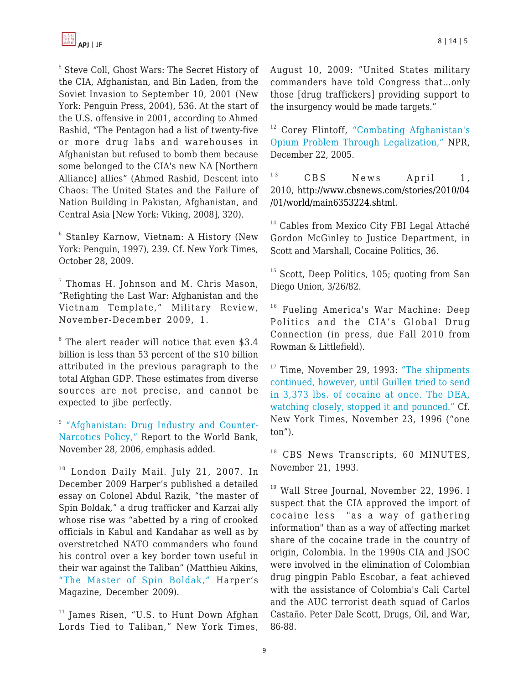5 Steve Coll, Ghost Wars: The Secret History of the CIA, Afghanistan, and Bin Laden, from the Soviet Invasion to September 10, 2001 (New York: Penguin Press, 2004), 536. At the start of the U.S. offensive in 2001, according to Ahmed Rashid, "The Pentagon had a list of twenty-five or more drug labs and warehouses in Afghanistan but refused to bomb them because some belonged to the CIA's new NA [Northern Alliance] allies" (Ahmed Rashid, Descent into Chaos: The United States and the Failure of Nation Building in Pakistan, Afghanistan, and Central Asia [New York: Viking, 2008], 320).

6 Stanley Karnow, Vietnam: A History (New York: Penguin, 1997), 239. Cf. New York Times, October 28, 2009.

 $7$  Thomas H. Johnson and M. Chris Mason, "Refighting the Last War: Afghanistan and the Vietnam Template," Military Review, November-December 2009, 1.

8 The alert reader will notice that even \$3.4 billion is less than 53 percent of the \$10 billion attributed in the previous paragraph to the total Afghan GDP. These estimates from diverse sources are not precise, and cannot be expected to jibe perfectly.

<sup>9</sup> ["Afghanistan: Drug Industry and Counter-](http://web.worldbank.org/WBSITE/EXTERNAL/COUNTRIES/SOUTHASIAEXT/0,,contentMDK:21133060~pagePK:146736~piPK:146830~theSitePK:223547,00.html)[Narcotics Policy,"](http://web.worldbank.org/WBSITE/EXTERNAL/COUNTRIES/SOUTHASIAEXT/0,,contentMDK:21133060~pagePK:146736~piPK:146830~theSitePK:223547,00.html) Report to the World Bank, November 28, 2006, emphasis added.

 $10$  London Daily Mail. July 21, 2007. In December 2009 Harper's published a detailed essay on Colonel Abdul Razik, "the master of Spin Boldak," a drug trafficker and Karzai ally whose rise was "abetted by a ring of crooked officials in Kabul and Kandahar as well as by overstretched NATO commanders who found his control over a key border town useful in their war against the Taliban" (Matthieu Aikins, ["The Master of Spin Boldak,"](http://harpers.org/archive/2009/12/0082754) Harper's Magazine, December 2009).

 $11$  James Risen, "U.S. to Hunt Down Afghan Lords Tied to Taliban," New York Times, August 10, 2009: "United States military commanders have told Congress that…only those [drug traffickers] providing support to the insurgency would be made targets."

<sup>12</sup> Corey Flintoff, ["Combating Afghanistan's](http://www.npr.org/templates/story/story.php?storyId=5065771) [Opium Problem Through Legalization,"](http://www.npr.org/templates/story/story.php?storyId=5065771) NPR, December 22, 2005.

<sup>13</sup> CBS News April 1, 2010, [http://www.cbsnews.com/stories/2010/04](http://www.cbsnews.com/stories/2010/04/01/world/main6353224.shtml) [/01/world/main6353224.shtml](http://www.cbsnews.com/stories/2010/04/01/world/main6353224.shtml).

<sup>14</sup> Cables from Mexico City FBI Legal Attaché Gordon McGinley to Justice Department, in Scott and Marshall, Cocaine Politics, 36.

<sup>15</sup> Scott, Deep Politics, 105; quoting from San Diego Union, 3/26/82.

<sup>16</sup> Fueling America's War Machine: Deep Politics and the CIA's Global Drug Connection (in press, due Fall 2010 from Rowman & Littlefield).

<sup>17</sup> Time, November 29, 1993: ["The shipments](http://www.time.com/time/magazine/article/0,9171,979669,00.html) [continued, however, until Guillen tried to send](http://www.time.com/time/magazine/article/0,9171,979669,00.html) [in 3,373 lbs. of cocaine at once. The DEA,](http://www.time.com/time/magazine/article/0,9171,979669,00.html) [watching closely, stopped it and pounced."](http://www.time.com/time/magazine/article/0,9171,979669,00.html) Cf. New York Times, November 23, 1996 ("one ton").

<sup>18</sup> CBS News Transcripts, 60 MINUTES, November 21, 1993.

<sup>19</sup> Wall Stree Journal, November 22, 1996. I suspect that the CIA approved the import of cocaine less "as a way of gathering information" than as a way of affecting market share of the cocaine trade in the country of origin, Colombia. In the 1990s CIA and JSOC were involved in the elimination of Colombian drug pingpin Pablo Escobar, a feat achieved with the assistance of Colombia's Cali Cartel and the AUC terrorist death squad of Carlos Castaño. Peter Dale Scott, Drugs, Oil, and War, 86-88.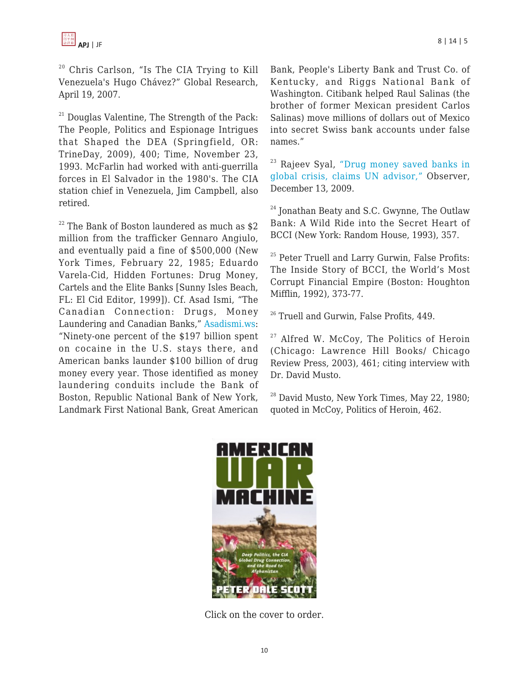<sup>20</sup> Chris Carlson, "Is The CIA Trying to Kill Venezuela's Hugo Chávez?" Global Research, April 19, 2007.

 $21$  Douglas Valentine, The Strength of the Pack: The People, Politics and Espionage Intrigues that Shaped the DEA (Springfield, OR: TrineDay, 2009), 400; Time, November 23, 1993. McFarlin had worked with anti-guerrilla forces in El Salvador in the 1980's. The CIA station chief in Venezuela, Jim Campbell, also retired.

 $22$  The Bank of Boston laundered as much as \$2 million from the trafficker Gennaro Angiulo, and eventually paid a fine of \$500,000 (New York Times, February 22, 1985; Eduardo Varela-Cid, Hidden Fortunes: Drug Money, Cartels and the Elite Banks [Sunny Isles Beach, FL: El Cid Editor, 1999]). Cf. Asad Ismi, "The Canadian Connection: Drugs, Money Laundering and Canadian Banks," [Asadismi.ws:](http://www.asadismi.ws/cancon.html) "Ninety-one percent of the \$197 billion spent on cocaine in the U.S. stays there, and American banks launder \$100 billion of drug money every year. Those identified as money laundering conduits include the Bank of Boston, Republic National Bank of New York, Landmark First National Bank, Great American Bank, People's Liberty Bank and Trust Co. of Kentucky, and Riggs National Bank of Washington. Citibank helped Raul Salinas (the brother of former Mexican president Carlos Salinas) move millions of dollars out of Mexico into secret Swiss bank accounts under false names."

<sup>23</sup> Rajeev Syal, ["Drug money saved banks in](http://www.guardian.co.uk/global/2009/dec/13/drug-money-banks-saved-un-cfief-claims) [global crisis, claims UN advisor,"](http://www.guardian.co.uk/global/2009/dec/13/drug-money-banks-saved-un-cfief-claims) Observer, December 13, 2009.

 $24$  Jonathan Beaty and S.C. Gwynne, The Outlaw Bank: A Wild Ride into the Secret Heart of BCCI (New York: Random House, 1993), 357.

<sup>25</sup> Peter Truell and Larry Gurwin, False Profits: The Inside Story of BCCI, the World's Most Corrupt Financial Empire (Boston: Houghton Mifflin, 1992), 373-77.

<sup>26</sup> Truell and Gurwin, False Profits, 449.

 $27$  Alfred W. McCoy, The Politics of Heroin (Chicago: Lawrence Hill Books/ Chicago Review Press, 2003), 461; citing interview with Dr. David Musto.

 $^{28}$  David Musto, New York Times, May 22, 1980; quoted in McCoy, Politics of Heroin, 462.



Click on the cover to order.